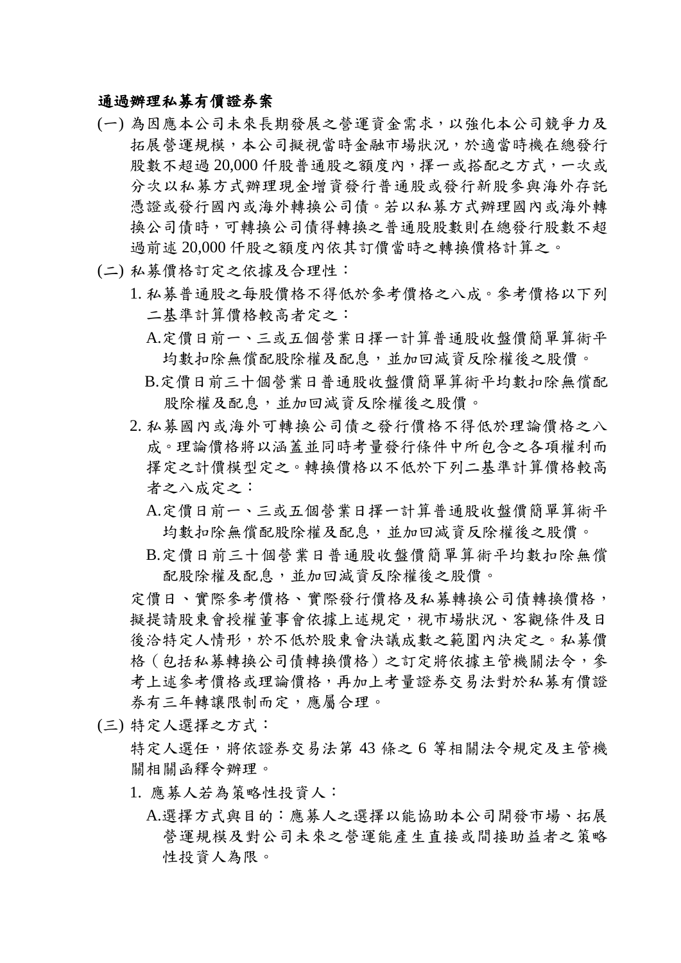#### 通過辦理私募有價證券案

- (一) 為因應本公司未來長期發展之營運資金需求,以強化本公司競爭力及 拓展營運規模,本公司擬視當時金融市場狀況,於適當時機在總發行 股數不超過 20,000 仟股普通股之額度內,擇一或搭配之方式,一次或 分次以私募方式辦理現金增資發行普通股或發行新股參與海外存託 憑證或發行國內或海外轉換公司債。若以私募方式辦理國內或海外轉 換公司債時,可轉換公司債得轉換之普通股股數則在總發行股數不超 過前述 20,000 仟股之額度內依其訂價當時之轉換價格計算之。
- (二) 私募價格訂定之依據及合理性:
	- 1. 私募普通股之每股價格不得低於參考價格之八成。參考價格以下列 二基準計算價格較高者定之:
		- A.定價日前一、三或五個營業日擇一計算普通股收盤價簡單算術平 均數扣除無償配股除權及配息,並加回減資反除權後之股價。
		- B.定價日前三十個營業日普通股收盤價簡單算術平均數扣除無償配 股除權及配息,並加回減資反除權後之股價。
	- 2. 私募國內或海外可轉換公司債之發行價格不得低於理論價格之八 成。理論價格將以涵蓋並同時考量發行條件中所包含之各項權利而 擇定之計價模型定之。轉換價格以不低於下列二基準計算價格較高 者之八成定之:
		- A.定價日前一、三或五個營業日擇一計算普通股收盤價簡單算術平 均數扣除無償配股除權及配息,並加回減資反除權後之股價。
		- B.定價日前三十個營業日普通股收盤價簡單算術平均數扣除無償 配股除權及配息,並加回減資反除權後之股價。

定價日、實際參考價格、實際發行價格及私募轉換公司債轉換價格, 擬提請股東會授權董事會依據上述規定,視市場狀況、客觀條件及日 後洽特定人情形,於不低於股東會決議成數之範圍內決定之。私募價 格(包括私募轉換公司債轉換價格)之訂定將依據主管機關法令,參 考上述參考價格或理論價格,再加上考量證券交易法對於私募有價證 券有三年轉讓限制而定,應屬合理。

(三) 特定人選擇之方式:

特定人選任,將依證券交易法第 43 條之 6 等相關法令規定及主管機 關相關函釋令辦理。

- 1. 應募人若為策略性投資人:
	- A.選擇方式與目的:應募人之選擇以能協助本公司開發市場、拓展 營運規模及對公司未來之營運能產生直接或間接助益者之策略 性投資人為限。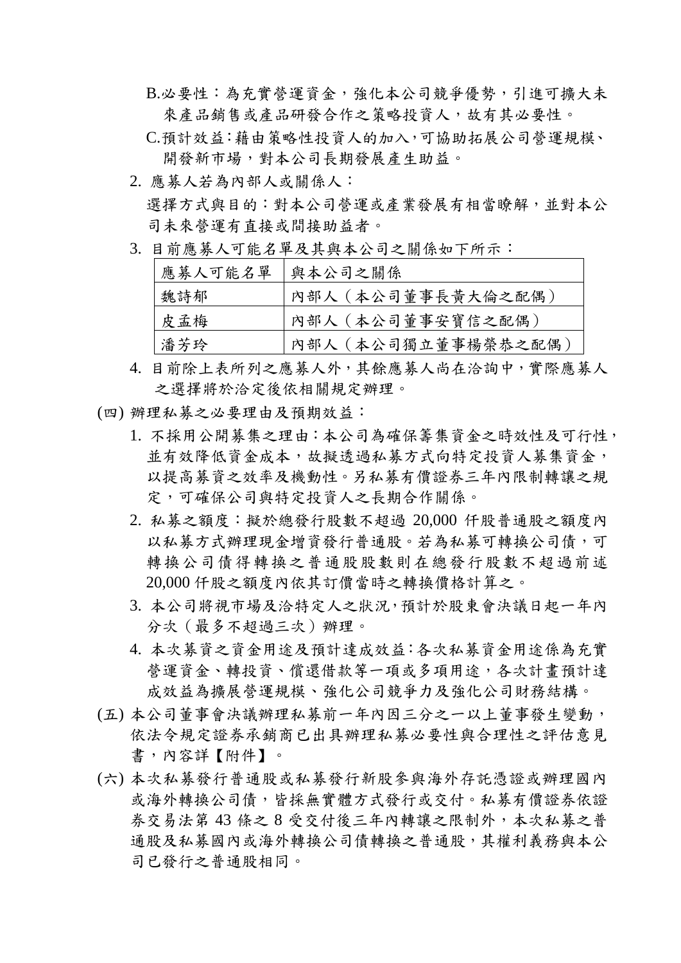- B.必要性:為充實營運資金,強化本公司競爭優勢,引進可擴大未 來產品銷售或產品研發合作之策略投資人,故有其必要性。
- C.預計效益:藉由策略性投資人的加入,可協助拓展公司營運規模、 開發新市場,對本公司長期發展產生助益。
- 2. 應募人若為內部人或關係人: 選擇方式與目的:對本公司營運或產業發展有相當瞭解,並對本公 司未來營運有直接或間接助益者。
- 3. 目前應募人可能名單及其與本公司之關係如下所示:

| 應募人可能名單 與本公司之關係 |                     |
|-----------------|---------------------|
| 魏詩郁             | 內部人 (本公司董事長黃大倫之配偶)  |
| 皮孟梅             | 內部人 (本公司董事安寶信之配偶)   |
| 潘芳玲             | 內部人 (本公司獨立董事楊榮恭之配偶) |

- 4. 目前除上表所列之應募人外,其餘應募人尚在洽詢中,實際應募人 之選擇將於洽定後依相關規定辦理。
- (四) 辦理私募之必要理由及預期效益:
	- 1. 不採用公開募集之理由:本公司為確保籌集資金之時效性及可行性, 並有效降低資金成本,故擬透過私募方式向特定投資人募集資金, 以提高募資之效率及機動性。另私募有價證券三年內限制轉讓之規 定,可確保公司與特定投資人之長期合作關係。
	- 2. 私募之額度:擬於總發行股數不超過 20,000 仟股普通股之額度內 以私慕方式辦理現金增資發行普通股。若為私慕可轉換公司債,可 轉換公司債得轉換之普通股股數則在總發行股數不超過前述 20,000 仟股之額度內依其訂價當時之轉換價格計算之。
	- 3. 本公司將視市場及洽特定人之狀況,預計於股東會決議日起一年內 分次(最多不超過三次)辦理。
	- 4. 本次募資之資金用途及預計達成效益:各次私募資金用途係為充實 營運資金、轉投資、償還借款等一項或多項用途,各次計畫預計達 成效益為擴展營運規模、強化公司競爭力及強化公司財務結構。
- (五) 本公司董事會決議辦理私募前一年內因三分之一以上董事發生變動, 依法令規定證券承銷商已出具辦理私募必要性與合理性之評估意見 書,內容詳【附件】。
- (六) 本次私募發行普通股或私募發行新股參與海外存託憑證或辦理國內 或海外轉換公司債,皆採無實體方式發行或交付。私募有價證券依證 券交易法第 43 條之 8 受交付後三年內轉讓之限制外,本次私募之普 通股及私募國內或海外轉換公司債轉換之普通股,其權利義務與本公 司已發行之普通股相同。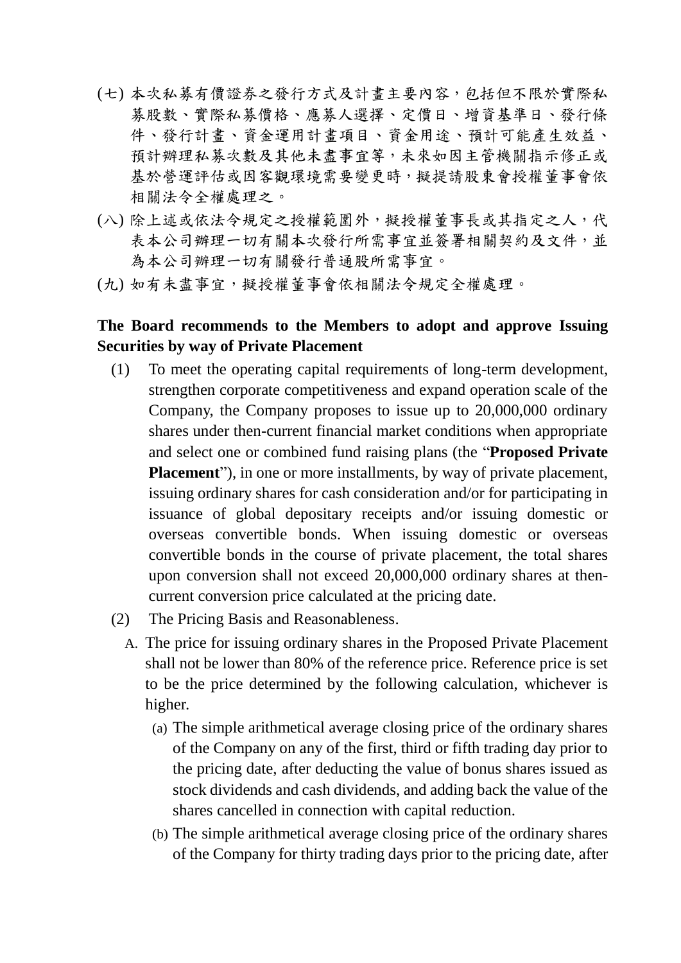- (七) 本次私募有價證券之發行方式及計畫主要內容,包括但不限於實際私 募股數、實際私募價格、應募人選擇、定價日、增資基準日、發行條 件、發行計畫、資金運用計畫項目、資金用途、預計可能產生效益、 預計辦理私募次數及其他未盡事宜等,未來如因主管機關指示修正或 基於營運評估或因客觀環境需要變更時,擬提請股東會授權董事會依 相關法令全權處理之。
- (八) 除上述或依法令規定之授權範圍外,擬授權董事長或其指定之人,代 表本公司辦理一切有關本次發行所需事宜並簽署相關契約及文件,並 為本公司辦理一切有關發行普通股所需事宜。
- (九) 如有未盡事宜,擬授權董事會依相關法令規定全權處理。

### **The Board recommends to the Members to adopt and approve Issuing Securities by way of Private Placement**

- (1) To meet the operating capital requirements of long-term development, strengthen corporate competitiveness and expand operation scale of the Company, the Company proposes to issue up to 20,000,000 ordinary shares under then-current financial market conditions when appropriate and select one or combined fund raising plans (the "**Proposed Private Placement**"), in one or more installments, by way of private placement, issuing ordinary shares for cash consideration and/or for participating in issuance of global depositary receipts and/or issuing domestic or overseas convertible bonds. When issuing domestic or overseas convertible bonds in the course of private placement, the total shares upon conversion shall not exceed 20,000,000 ordinary shares at thencurrent conversion price calculated at the pricing date.
- (2) The Pricing Basis and Reasonableness.
	- A. The price for issuing ordinary shares in the Proposed Private Placement shall not be lower than 80% of the reference price. Reference price is set to be the price determined by the following calculation, whichever is higher.
		- (a) The simple arithmetical average closing price of the ordinary shares of the Company on any of the first, third or fifth trading day prior to the pricing date, after deducting the value of bonus shares issued as stock dividends and cash dividends, and adding back the value of the shares cancelled in connection with capital reduction.
		- (b) The simple arithmetical average closing price of the ordinary shares of the Company for thirty trading days prior to the pricing date, after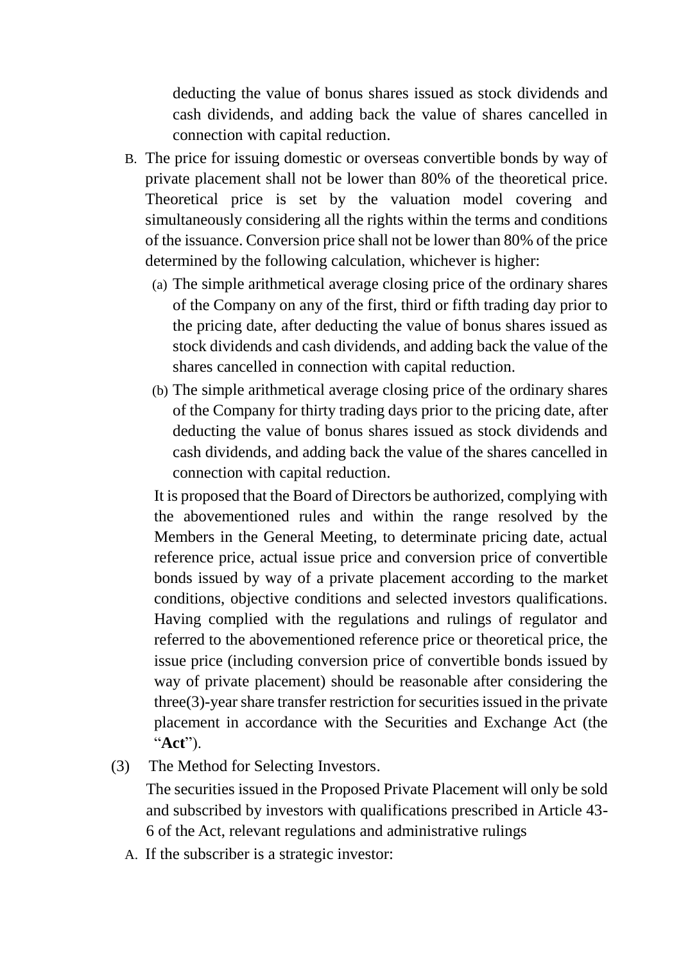deducting the value of bonus shares issued as stock dividends and cash dividends, and adding back the value of shares cancelled in connection with capital reduction.

- B. The price for issuing domestic or overseas convertible bonds by way of private placement shall not be lower than 80% of the theoretical price. Theoretical price is set by the valuation model covering and simultaneously considering all the rights within the terms and conditions of the issuance. Conversion price shall not be lower than 80% of the price determined by the following calculation, whichever is higher:
	- (a) The simple arithmetical average closing price of the ordinary shares of the Company on any of the first, third or fifth trading day prior to the pricing date, after deducting the value of bonus shares issued as stock dividends and cash dividends, and adding back the value of the shares cancelled in connection with capital reduction.
	- (b) The simple arithmetical average closing price of the ordinary shares of the Company for thirty trading days prior to the pricing date, after deducting the value of bonus shares issued as stock dividends and cash dividends, and adding back the value of the shares cancelled in connection with capital reduction.

It is proposed that the Board of Directors be authorized, complying with the abovementioned rules and within the range resolved by the Members in the General Meeting, to determinate pricing date, actual reference price, actual issue price and conversion price of convertible bonds issued by way of a private placement according to the market conditions, objective conditions and selected investors qualifications. Having complied with the regulations and rulings of regulator and referred to the abovementioned reference price or theoretical price, the issue price (including conversion price of convertible bonds issued by way of private placement) should be reasonable after considering the three(3)-year share transfer restriction for securities issued in the private placement in accordance with the Securities and Exchange Act (the "**Act**").

(3) The Method for Selecting Investors.

The securities issued in the Proposed Private Placement will only be sold and subscribed by investors with qualifications prescribed in Article 43- 6 of the Act, relevant regulations and administrative rulings

A. If the subscriber is a strategic investor: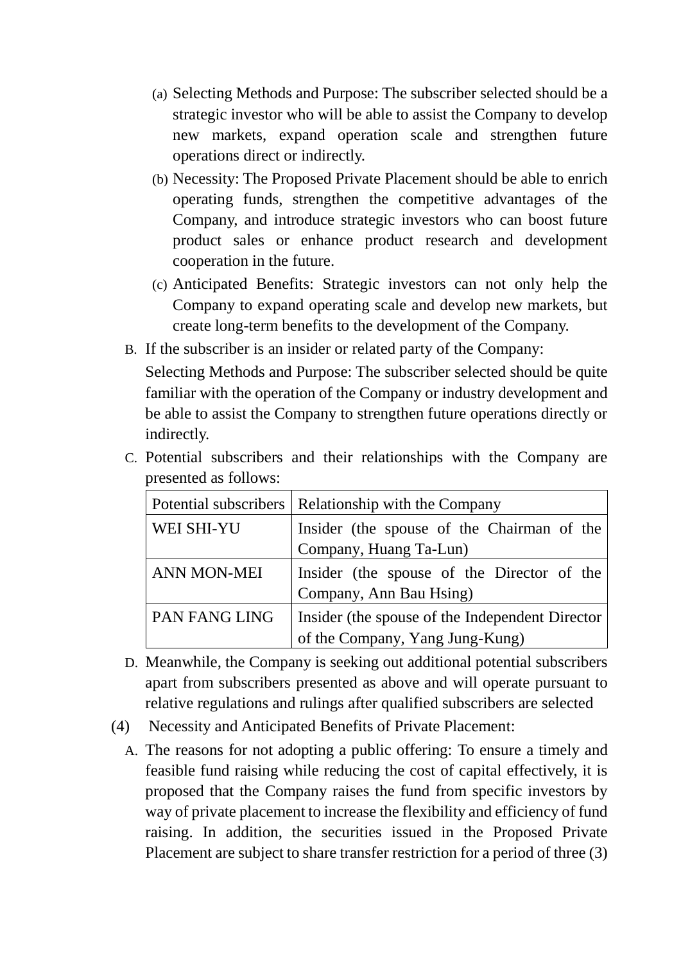- (a) Selecting Methods and Purpose: The subscriber selected should be a strategic investor who will be able to assist the Company to develop new markets, expand operation scale and strengthen future operations direct or indirectly.
- (b) Necessity: The Proposed Private Placement should be able to enrich operating funds, strengthen the competitive advantages of the Company, and introduce strategic investors who can boost future product sales or enhance product research and development cooperation in the future.
- (c) Anticipated Benefits: Strategic investors can not only help the Company to expand operating scale and develop new markets, but create long-term benefits to the development of the Company.
- B. If the subscriber is an insider or related party of the Company:

Selecting Methods and Purpose: The subscriber selected should be quite familiar with the operation of the Company or industry development and be able to assist the Company to strengthen future operations directly or indirectly.

|                    | Potential subscribers   Relationship with the Company |  |
|--------------------|-------------------------------------------------------|--|
| WEI SHI-YU         | Insider (the spouse of the Chairman of the            |  |
|                    | Company, Huang Ta-Lun)                                |  |
| <b>ANN MON-MEI</b> | Insider (the spouse of the Director of the            |  |
|                    | Company, Ann Bau Hsing)                               |  |
| PAN FANG LING      | Insider (the spouse of the Independent Director       |  |
|                    | of the Company, Yang Jung-Kung)                       |  |

C. Potential subscribers and their relationships with the Company are presented as follows:

- D. Meanwhile, the Company is seeking out additional potential subscribers apart from subscribers presented as above and will operate pursuant to relative regulations and rulings after qualified subscribers are selected
- (4) Necessity and Anticipated Benefits of Private Placement:
	- A. The reasons for not adopting a public offering: To ensure a timely and feasible fund raising while reducing the cost of capital effectively, it is proposed that the Company raises the fund from specific investors by way of private placement to increase the flexibility and efficiency of fund raising. In addition, the securities issued in the Proposed Private Placement are subject to share transfer restriction for a period of three (3)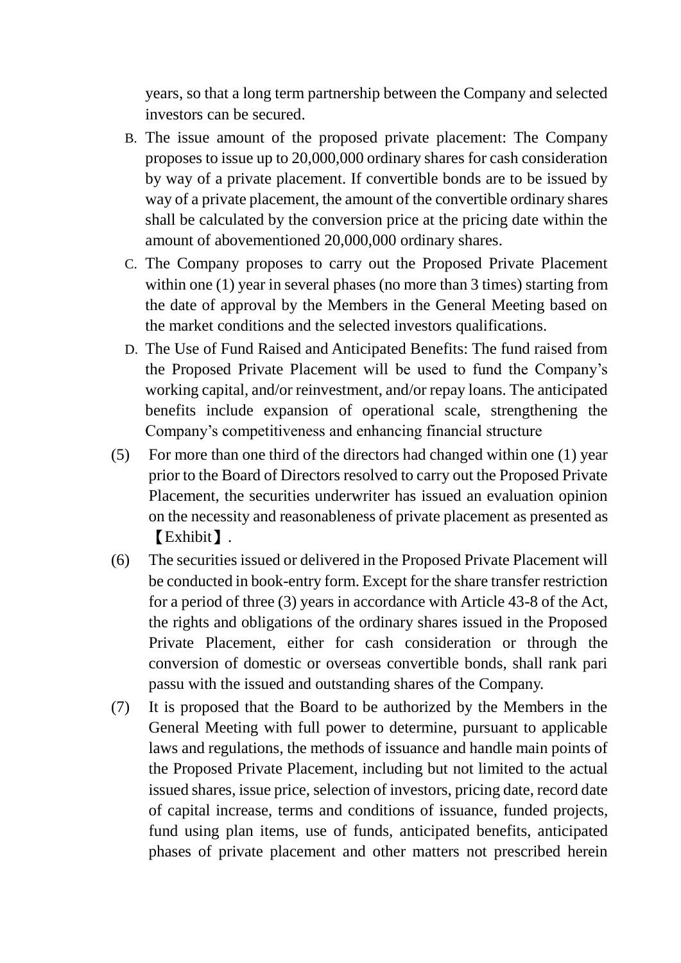years, so that a long term partnership between the Company and selected investors can be secured.

- B. The issue amount of the proposed private placement: The Company proposes to issue up to 20,000,000 ordinary shares for cash consideration by way of a private placement. If convertible bonds are to be issued by way of a private placement, the amount of the convertible ordinary shares shall be calculated by the conversion price at the pricing date within the amount of abovementioned 20,000,000 ordinary shares.
- C. The Company proposes to carry out the Proposed Private Placement within one (1) year in several phases (no more than 3 times) starting from the date of approval by the Members in the General Meeting based on the market conditions and the selected investors qualifications.
- D. The Use of Fund Raised and Anticipated Benefits: The fund raised from the Proposed Private Placement will be used to fund the Company's working capital, and/or reinvestment, and/or repay loans. The anticipated benefits include expansion of operational scale, strengthening the Company's competitiveness and enhancing financial structure
- (5) For more than one third of the directors had changed within one (1) year prior to the Board of Directors resolved to carry out the Proposed Private Placement, the securities underwriter has issued an evaluation opinion on the necessity and reasonableness of private placement as presented as 【Exhibit】.
- (6) The securities issued or delivered in the Proposed Private Placement will be conducted in book-entry form. Except for the share transfer restriction for a period of three (3) years in accordance with Article 43-8 of the Act, the rights and obligations of the ordinary shares issued in the Proposed Private Placement, either for cash consideration or through the conversion of domestic or overseas convertible bonds, shall rank pari passu with the issued and outstanding shares of the Company.
- (7) It is proposed that the Board to be authorized by the Members in the General Meeting with full power to determine, pursuant to applicable laws and regulations, the methods of issuance and handle main points of the Proposed Private Placement, including but not limited to the actual issued shares, issue price, selection of investors, pricing date, record date of capital increase, terms and conditions of issuance, funded projects, fund using plan items, use of funds, anticipated benefits, anticipated phases of private placement and other matters not prescribed herein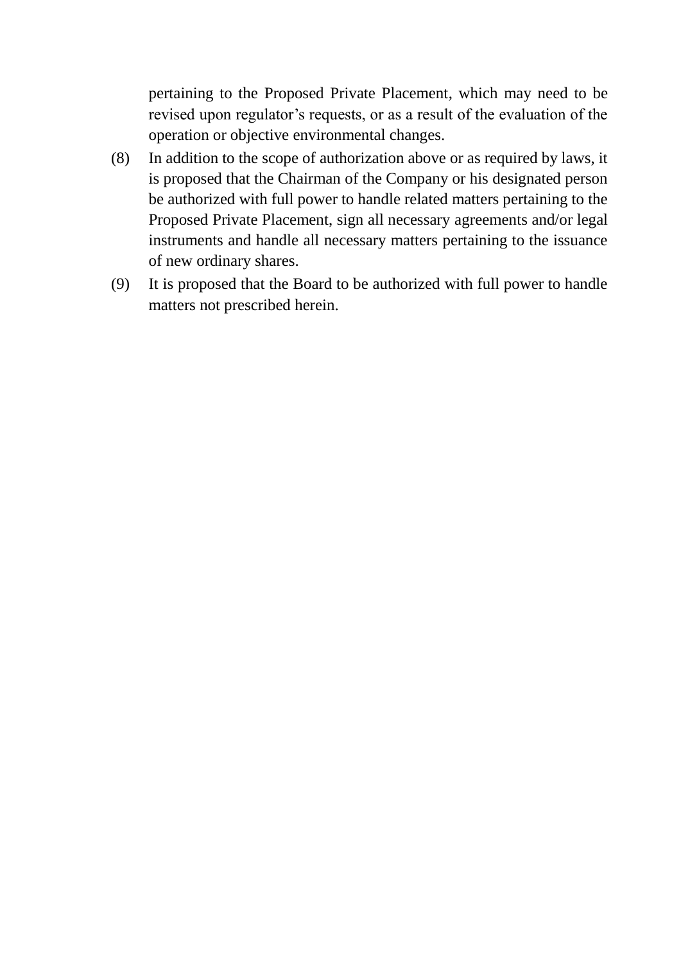pertaining to the Proposed Private Placement, which may need to be revised upon regulator's requests, or as a result of the evaluation of the operation or objective environmental changes.

- (8) In addition to the scope of authorization above or as required by laws, it is proposed that the Chairman of the Company or his designated person be authorized with full power to handle related matters pertaining to the Proposed Private Placement, sign all necessary agreements and/or legal instruments and handle all necessary matters pertaining to the issuance of new ordinary shares.
- (9) It is proposed that the Board to be authorized with full power to handle matters not prescribed herein.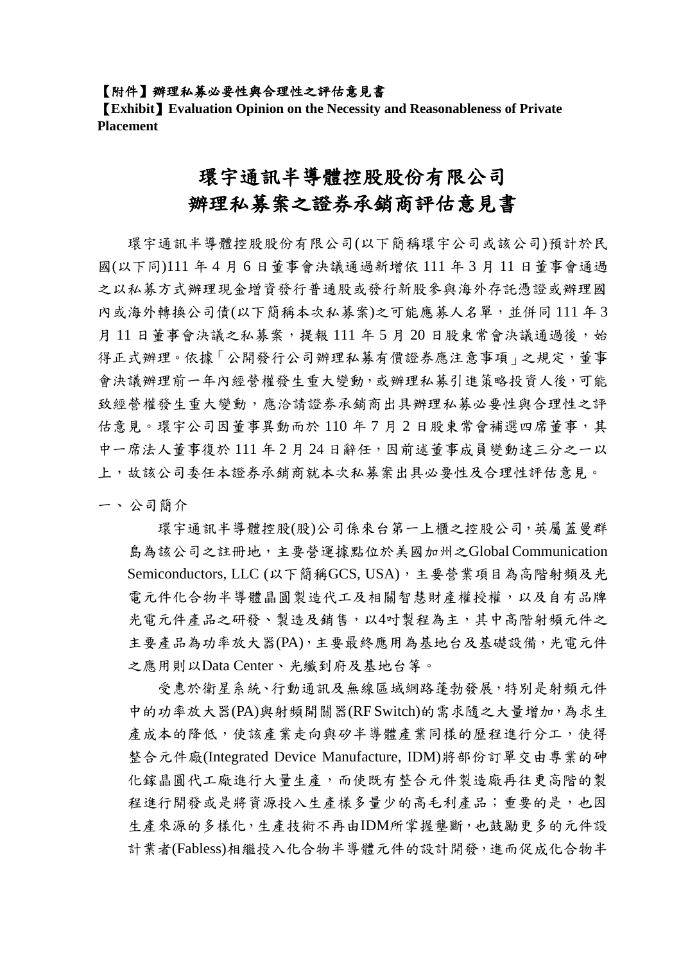#### 【附件】辦理私募必要性與合理性之評估意見書

【**Exhibit**】**Evaluation Opinion on the Necessity and Reasonableness of Private Placement**

# 環宇通訊半導體控股股份有限公司 辦理私募案之證券承銷商評估意見書

環宇通訊半導體控股股份有限公司(以下簡稱環宇公司或該公司)預計於民 國(以下同)111 年 4 月 6 日董事會決議通過新增依 111 年 3 月 11 日董事會通過 之以私募方式辦理現金增資發行普通股或發行新股參與海外存託憑證或辦理國 內或海外轉換公司債(以下簡稱本次私募案)之可能應募人名單,並併同111年3 月11日董事會決議之私募案,提報111年5月20日股東常會決議通過後,始 得正式辦理。依據「公開發行公司辦理私募有價證券應注意事項」之規定,董事 會決議辦理前一年內經營權發生重大變動,或辦理私募引進策略投資人後,可能 致經營權發生重大變動,應洽請證券承銷商出具辦理私募必要性與合理性之評 估意見。環宇公司因董事異動而於 110 年 7 月 2 日股東常會補選四席董事,其 中一席法人董事復於111年2月24日辭任,因前述董事成員變動達三分之一以 上,故該公司委任本證券承銷商就本次私募案出具必要性及合理性評估意見。

一、公司簡介

環宇通訊半導體控股(股)公司係來台第一上櫃之控股公司,英屬蓋曼群 島為該公司之註冊地,主要營運據點位於美國加州之Global Communication Semiconductors, LLC (以下簡稱GCS, USA),主要營業項目為高階射頻及光 電元件化合物半導體晶圓製造代工及相關智慧財產權授權,以及自有品牌 光電元件產品之研發、製造及銷售,以4吋製程為主,其中高階射頻元件之 主要產品為功率放大器(PA),主要最終應用為基地台及基礎設備,光電元件 之應用則以Data Center、光纖到府及基地台等。

受惠於衛星系統、行動通訊及無線區域網路蓬勃發展,特別是射頻元件 中的功率放大器(PA)與射頻開關器(RF Switch)的需求隨之大量增加,為求生 產成本的降低,使該產業走向與矽半導體產業同樣的歷程進行分工,使得 整合元件廠(Integrated Device Manufacture, IDM)將部份訂單交由專業的砷 化鎵晶圓代工廠進行大量生產,而使既有整合元件製造廠再往更高階的製 程進行開發或是將資源投入生產樣多量少的高毛利產品;重要的是,也因 生產來源的多樣化,生產技術不再由IDM所掌握壟斷,也鼓勵更多的元件設 計業者(Fabless)相繼投入化合物半導體元件的設計開發,進而促成化合物半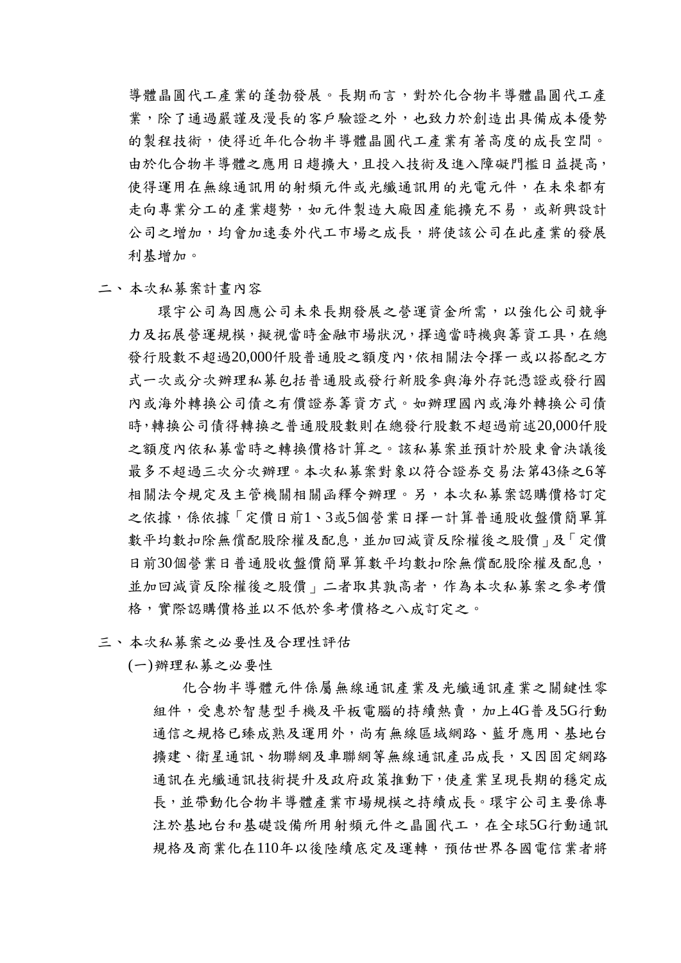導體晶圓代工產業的蓬勃發展。長期而言,對於化合物半導體晶圓代工產 業,除了通過嚴謹及漫長的客戶驗證之外,也致力於創造出具備成本優勢 的製程技術,使得近年化合物半導體晶圓代工產業有著高度的成長空間。 由於化合物半導體之應用日趨擴大,且投入技術及進入障礙門檻日益提高, 使得運用在無線通訊用的射頻元件或光纖通訊用的光電元件,在未來都有 走向專業分工的產業趨勢,如元件製造大廠因產能擴充不易,或新興設計 公司之增加,均會加速委外代工巿場之成長,將使該公司在此產業的發展 利基增加。

二、本次私募案計畫內容

環宇公司為因應公司未來長期發展之營運資金所需,以強化公司競爭 力及拓展營運規模,擬視當時金融市場狀況,擇適當時機與籌資工具,在總 發行股數不超過20,000仟股普通股之額度內,依相關法令擇一或以搭配之方 式一次或分次辦理私募包括普通股或發行新股參與海外存託憑證或發行國 內或海外轉換公司債之有價證券籌資方式。如辦理國內或海外轉換公司債 時,轉換公司債得轉換之普通股股數則在總發行股數不超過前述20,000仟股 之額度內依私募當時之轉換價格計算之。該私募案並預計於股東會決議後 最多不超過三次分次辦理。本次私募案對象以符合證券交易法第43條之6等 相關法令規定及主管機關相關函釋今辦理。另,本次私募案認購價格訂定 之依據,係依據「定價日前1、3或5個營業日擇一計算普通股收盤價簡單算 數平均數扣除無償配股除權及配息,並加回減資反除權後之股價」及「定價 日前30個營業日普通股收盤價簡單算數平均數扣除無償配股除權及配息, 並加回減資反除權後之股價」二者取其孰高者,作為本次私募案之參考價 格,實際認購價格並以不低於參考價格之八成訂定之。

三、本次私募案之必要性及合理性評估

(一)辦理私募之必要性

化合物半導體元件係屬無線通訊產業及光纖通訊產業之關鍵性零 組件,受惠於智慧型手機及平板電腦的持續熱賣,加上4G普及5G行動 通信之規格已臻成熟及運用外,尚有無線區域網路、藍牙應用、基地台 擴建、衛星通訊、物聯網及車聯網等無線通訊產品成長,又因固定網路 通訊在光纖通訊技術提升及政府政策推動下,使產業呈現長期的穩定成 長,並帶動化合物半導體產業市場規模之持續成長。環宇公司主要係專 注於基地台和基礎設備所用射頻元件之晶圓代工,在全球5G行動通訊 規格及商業化在110年以後陸續底定及運轉,預估世界各國電信業者將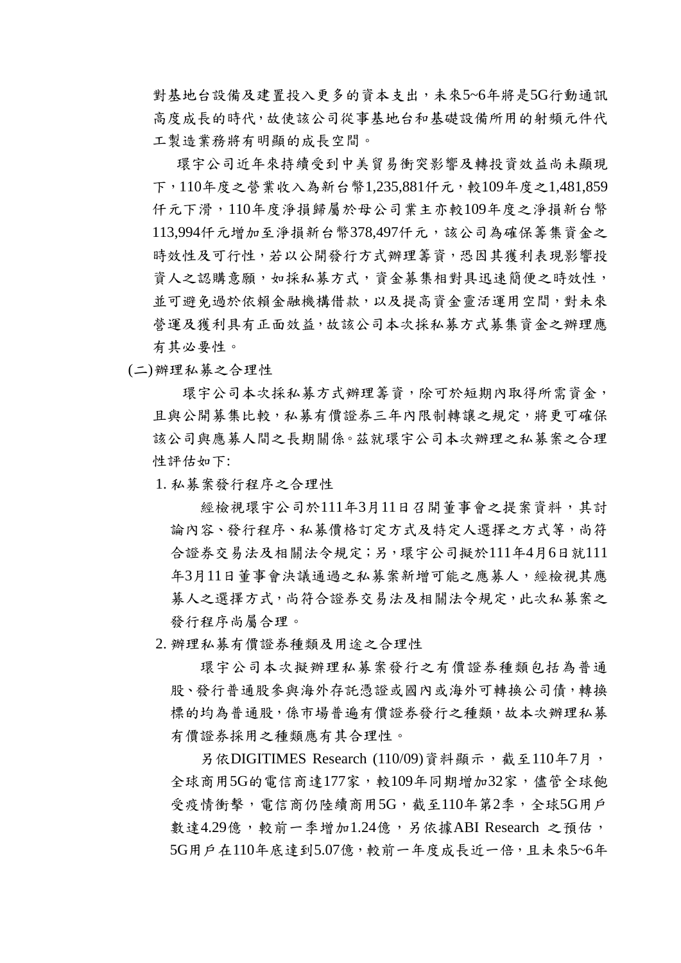對基地台設備及建置投入更多的資本支出,未來5~6年將是5G行動通訊 高度成長的時代,故使該公司從事基地台和基礎設備所用的射頻元件代 工製造業務將有明顯的成長空間。

環宇公司近年來持續受到中美貿易衝突影響及轉投資效益尚未顯現 下,110年度之營業收入為新台幣1,235,881仟元,較109年度之1,481,859 仟元下滑,110年度淨損歸屬於母公司業主亦較109年度之淨損新台幣 113,994仟元增加至淨損新台幣378,497仟元,該公司為確保籌集資金之 時效性及可行性,若以公開發行方式辦理籌資,恐因其獲利表現影響投 資人之認購意願,如採私募方式,資金募集相對具迅速簡便之時效性, 並可避免過於依賴金融機構借款,以及提高資金靈活運用空間,對未來 營運及獲利具有正面效益,故該公司本次採私募方式募集資金之辦理應 有其必要性。

(二)辦理私募之合理性

環宇公司本次採私募方式辦理籌資,除可於短期內取得所需資金, 且與公開募集比較,私募有價證券三年內限制轉讓之規定,將更可確保 該公司與應募人間之長期關係。茲就環宇公司本次辦理之私募案之合理 性評估如下:

1. 私募案發行程序之合理性

經檢視環宇公司於111年3月11日召開董事會之提案資料,其討 論內容、發行程序、私募價格訂定方式及特定人選擇之方式等,尚符 合證券交易法及相關法令規定;另,環宇公司擬於111年4月6日就111 年3月11日董事會決議通過之私募案新增可能之應募人,經檢視其應 募人之選擇方式,尚符合證券交易法及相關法令規定,此次私募案之 發行程序尚屬合理。

2. 辦理私募有價證券種類及用途之合理性

環宇公司本次擬辦理私募案發行之有價證券種類包括為普通 股、發行普通股參與海外存託憑證或國內或海外可轉換公司債,轉換 標的均為普通股,係市場普遍有價證券發行之種類,故本次辦理私募 有價證券採用之種類應有其合理性。

另依DIGITIMES Research  $(110/09)$ 資料顯示,截至110年7月, 全球商用5G的電信商達177家,較109年同期增加32家,儘管全球飽 受疫情衝擊, 電信商仍陸續商用5G, 截至110年第2季, 全球5G用戶 數達4.29億,較前一季增加1.24億,另依據ABI Research 之預估, 5G用戶在110年底達到5.07億,較前一年度成長近一倍,且未來5~6年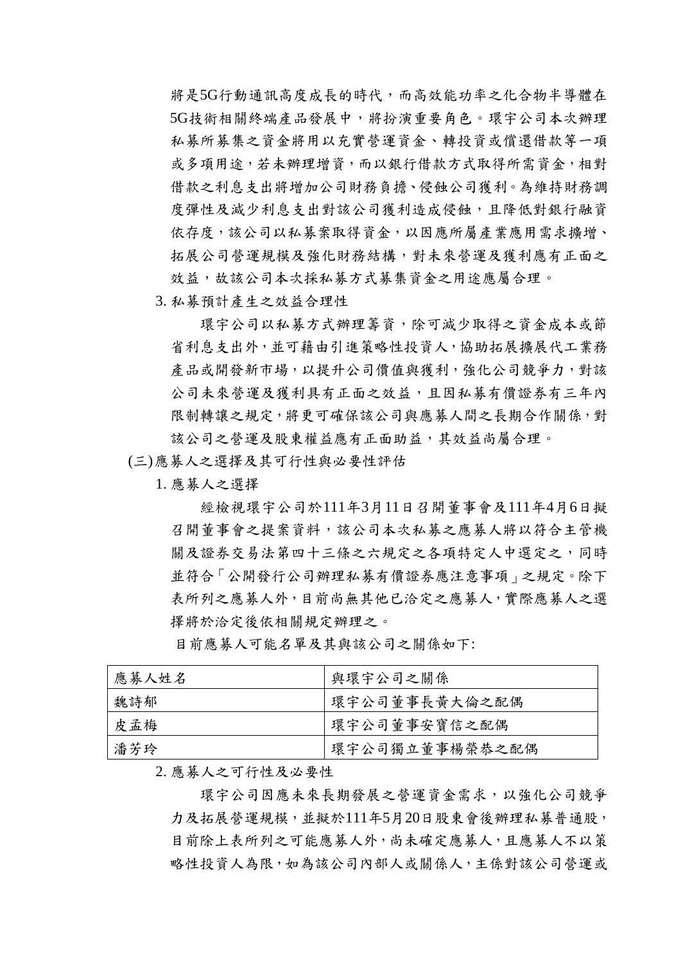將是5G行動通訊高度成長的時代,而高效能功率之化合物半導體在 5G技術相關終端產品發展中,將扮演重要角色。環宇公司本次辦理 私募所募集之資金將用以充實營運資金、轉投資或償還借款等一項 或多項用途,若未辦理增資,而以銀行借款方式取得所需資金,相對 借款之利息支出將增加公司財務負擔、侵蝕公司獲利。為維持財務調 度彈性及減少利息支出對該公司獲利造成侵蝕,且降低對銀行融資 依存度,該公司以私募案取得資金,以因應所屬產業應用需求擴增、 拓展公司營運規模及強化財務結構,對未來營運及獲利應有正面之 效益,故該公司本次採私募方式募集資金之用途應屬合理。

3. 私募預計產生之效益合理性

環宇公司以私募方式辦理籌資,除可減少取得之資金成本或節 省利息支出外,並可藉由引進策略性投資人,協助拓展擴展代工業務 產品或開發新市場,以提升公司價值與獲利,強化公司競爭力,對該 公司未來營運及獲利具有正面之效益,且因私募有價證券有三年內 限制轉讓之規定,將更可確保該公司與應募人間之長期合作關係,對 該公司之營運及股東權益應有正面助益,其效益尚屬合理。

(三)應募人之選擇及其可行性與必要性評估

1. 應募人之選擇

經檢視環宇公司於111年3月11日召開董事會及111年4月6日擬 召開董事會之提案資料,該公司本次私募之應募人將以符合主管機 關及證券交易法第四十三條之六規定之各項特定人中選定之,同時 並符合「公開發行公司辦理私募有價證券應注意事項」之規定。除下 表所列之應募人外,目前尚無其他已洽定之應募人,實際應募人之選 擇將於洽定後依相關規定辦理之。

目前應募人可能名單及其與該公司之關係如下:

| 應募人姓名 | 與環宇公司之關係       |
|-------|----------------|
| 魏詩郁   | 環宇公司董事長黃大倫之配偶  |
| 皮孟梅   | 環宇公司董事安寶信之配偶   |
| 潘芳玲   | 環宇公司獨立董事楊榮恭之配偶 |

2. 應募人之可行性及必要性

環宇公司因應未來長期發展之營運資金需求,以強化公司競爭 力及拓展營運規模,並擬於111年5月20日股東會後辦理私募普通股, 目前除上表所列之可能應募人外,尚未確定應募人,且應募人不以策 略性投資人為限,如為該公司內部人或關係人,主係對該公司營運或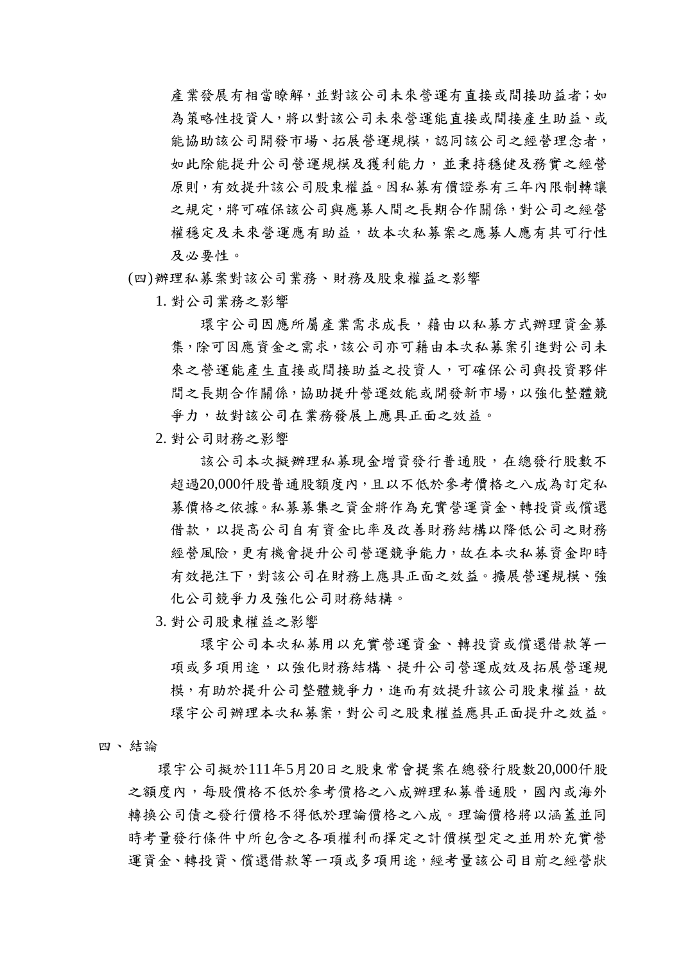產業發展有相當瞭解,並對該公司未來營運有直接或間接助益者;如 為策略性投資人,將以對該公司未來營運能直接或間接產生助益、或 能協助該公司開發市場、拓展營運規模,認同該公司之經營理念者, 如此除能提升公司營運規模及獲利能力,並秉持穩健及務實之經營 原則,有效提升該公司股東權益。因私募有價證券有三年內限制轉讓 之規定,將可確保該公司與應募人間之長期合作關係,對公司之經營 權穩定及未來營運應有助益,故本次私募案之應募人應有其可行性 及必要性。

- (四)辦理私募案對該公司業務、財務及股東權益之影響
	- 1. 對公司業務之影響

環宇公司因應所屬產業需求成長,藉由以私募方式辦理資金募 集,除可因應資金之需求,該公司亦可藉由本次私募案引進對公司未 來之營運能產生直接或間接助益之投資人,可確保公司與投資夥伴 間之長期合作關係,協助提升營運效能或開發新市場,以強化整體競 爭力,故對該公司在業務發展上應具正面之效益。

2. 對公司財務之影響

該公司本次擬辦理私募現金增資發行普通股,在總發行股數不 超過20,000仟股普通股額度內,且以不低於參考價格之八成為訂定私 募價格之依據。私募募集之資金將作為充實營運資金、轉投資或償還 借款,以提高公司自有資金比率及改善財務結構以降低公司之財務 經營風險,更有機會提升公司營運競爭能力,故在本次私募資金即時 有效挹注下,對該公司在財務上應具正面之效益。擴展營運規模、強 化公司競爭力及強化公司財務結構。

3. 對公司股東權益之影響

環宇公司本次私募用以充實營運資金、轉投資或償還借款等一 項或多項用途,以強化財務結構、提升公司營運成效及拓展營運規 模,有助於提升公司整體競爭力,進而有效提升該公司股東權益,故 環宇公司辦理本次私募案,對公司之股東權益應具正面提升之效益。

四、結論

環宇公司擬於111年5月20日之股東常會提案在總發行股數20,000仟股 之額度內,每股價格不低於參考價格之八成辦理私募普通股,國內或海外 轉換公司債之發行價格不得低於理論價格之八成。理論價格將以涵蓋並同 時考量發行條件中所包含之各項權利而擇定之計價模型定之並用於充實營 運資金、轉投資、償還借款等一項或多項用途,經考量該公司目前之經營狀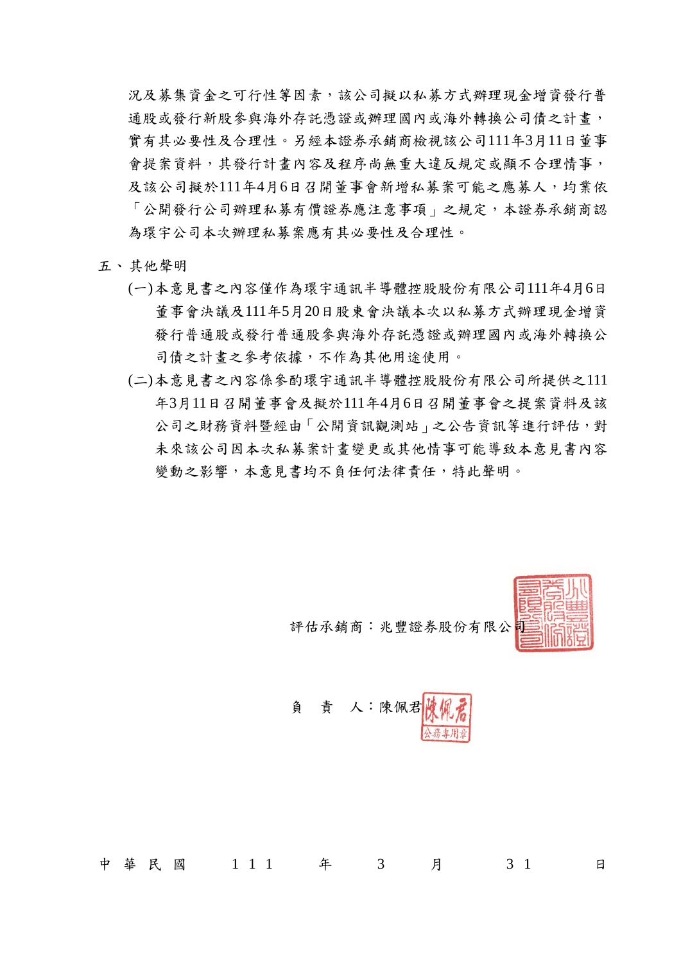況及募集資金之可行性等因素,該公司擬以私募方式辦理現金增資發行普 通股或發行新股參與海外存託憑證或辦理國內或海外轉換公司債之計畫, 實有其必要性及合理性。另經本證券承銷商檢視該公司111年3月11日董事 會提案資料,其發行計書內容及程序尚無重大違反規定或顯不合理情事, 及該公司擬於111年4月6日召開董事會新增私募案可能之應募人,均業依 「公開發行公司辦理私募有價證券應注意事項」之規定,本證券承銷商認 為環宇公司本次辦理私募案應有其必要性及合理性。

- 五、其他聲明
	- (一)本意見書之內容僅作為環宇通訊半導體控股股份有限公司111年4月6日 董事會決議及111年5月20日股東會決議本次以私募方式辦理現金增資 發行普通股或發行普通股參與海外存託憑證或辦理國內或海外轉換公 司債之計畫之參考依據,不作為其他用途使用。
	- (二)本意見書之內容係參酌環宇通訊半導體控股股份有限公司所提供之111 年3月11日召開董事會及擬於111年4月6日召開董事會之提案資料及該 公司之財務資料暨經由「公開資訊觀測站」之公告資訊等進行評估,對 未來該公司因本次私募案計書變更或其他情事可能導致本意見書內容 變動之影響,本意見書均不負任何法律責任,特此聲明。



評估承銷商:兆豐證券股份有限公

負 責 人:陳佩君

中華民國 111 年 3 月 31 日